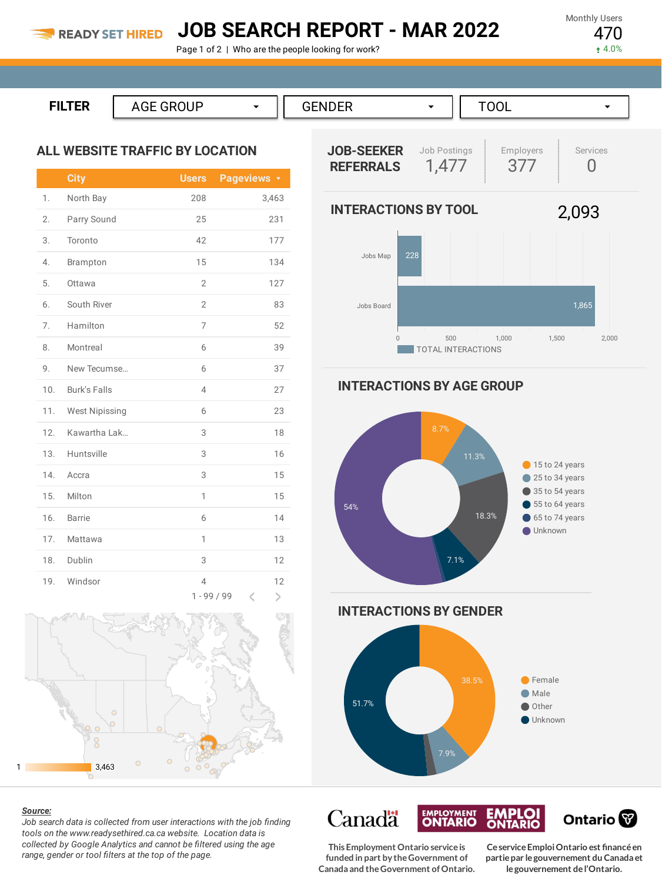### **JOB SEARCH REPORT - MAR 2022**

Page 1 of 2 | Who are the people looking for work?

Monthly Users 470

 $4.0%$ 

| ----<br>. .<br>,,,,,,,<br>the contract of the contract of the contract of the contract of the contract of the contract of the contract of | $\sim$ $\sim$ $\sim$ $\sim$ $\sim$ $\sim$ $\sim$ |  |
|-------------------------------------------------------------------------------------------------------------------------------------------|--------------------------------------------------|--|

#### **ALL WEBSITE TRAFFIC BY LOCATION**

|     | <b>City</b>           | <b>Users</b>                    | Pageviews <b>v</b> |
|-----|-----------------------|---------------------------------|--------------------|
| 1.  | North Bay             | 208                             | 3,463              |
| 2.  | Parry Sound           | 25                              | 231                |
| 3.  | Toronto               | 42                              | 177                |
| 4.  | Brampton              | 15                              | 134                |
| 5.  | Ottawa                | $\overline{2}$                  | 127                |
| 6.  | South River           | $\overline{2}$                  | 83                 |
| 7.  | Hamilton              | 7                               | 52                 |
| 8.  | Montreal              | 6                               | 39                 |
| 9.  | New Tecumse           | 6                               | 37                 |
| 10. | <b>Burk's Falls</b>   | $\overline{4}$                  | 27                 |
| 11. | <b>West Nipissing</b> | 6                               | 23                 |
| 12. | Kawartha Lak          | 3                               | 18                 |
| 13. | Huntsville            | 3                               | 16                 |
| 14. | Accra                 | 3                               | 15                 |
| 15. | Milton                | 1                               | 15                 |
| 16. | <b>Barrie</b>         | 6                               | 14                 |
| 17. | Mattawa               | 1                               | 13                 |
| 18. | Dublin                | 3                               | 12                 |
| 19. | Windsor               | $\overline{4}$<br>$1 - 99 / 99$ | 12<br>K<br>⋗       |





*Job search data is collected from user interactions with the job finding tools on the www.readysethired.ca.ca website. Location data is collected by Google Analytics and cannot be filtered using the age range, gender or tool filters at the top of the page.*



**INTERACTIONS BY AGE GROUP**





**This Employment Ontario serviceis funded in part by theGovernment of Canada and theGovernment ofOntario.**

**EMPLOYMENT** 

**Canadä** 

**CeserviceEmploiOntario est financéen partiepar legouvernement du Canada et legouvernement del'Ontario.**

Ontario<sup>®</sup>

**EMPLOI**<br>ONTARIO